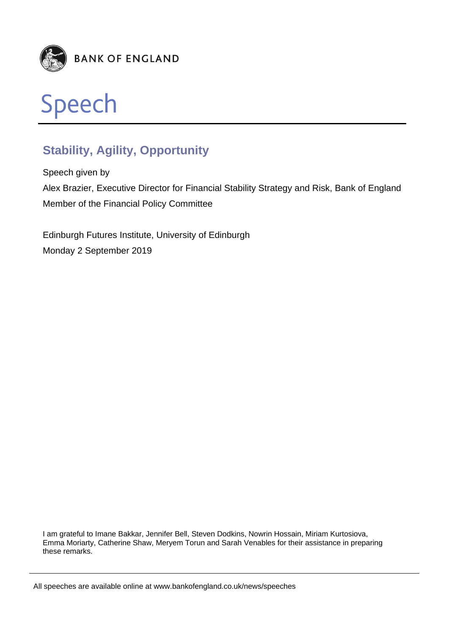



# **Stability, Agility, Opportunity**

Speech given by Alex Brazier, Executive Director for Financial Stability Strategy and Risk, Bank of England Member of the Financial Policy Committee

Edinburgh Futures Institute, University of Edinburgh Monday 2 September 2019

I am grateful to Imane Bakkar, Jennifer Bell, Steven Dodkins, Nowrin Hossain, Miriam Kurtosiova, Emma Moriarty, Catherine Shaw, Meryem Torun and Sarah Venables for their assistance in preparing these remarks.

All speeches are available online at www.bankofengland.co.uk/news/speeches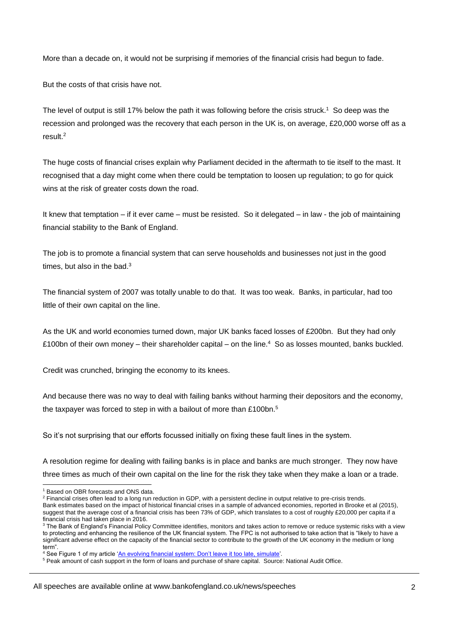More than a decade on, it would not be surprising if memories of the financial crisis had begun to fade.

But the costs of that crisis have not.

The level of output is still 17% below the path it was following before the crisis struck.<sup>1</sup> So deep was the recession and prolonged was the recovery that each person in the UK is, on average, £20,000 worse off as a result.<sup>2</sup>

The huge costs of financial crises explain why Parliament decided in the aftermath to tie itself to the mast. It recognised that a day might come when there could be temptation to loosen up regulation; to go for quick wins at the risk of greater costs down the road.

It knew that temptation – if it ever came – must be resisted. So it delegated – in law - the job of maintaining financial stability to the Bank of England.

The job is to promote a financial system that can serve households and businesses not just in the good times, but also in the bad. $3$ 

The financial system of 2007 was totally unable to do that. It was too weak. Banks, in particular, had too little of their own capital on the line.

As the UK and world economies turned down, major UK banks faced losses of £200bn. But they had only £100bn of their own money – their shareholder capital – on the line.<sup>4</sup> So as losses mounted, banks buckled.

Credit was crunched, bringing the economy to its knees.

And because there was no way to deal with failing banks without harming their depositors and the economy, the taxpayer was forced to step in with a bailout of more than £100bn.<sup>5</sup>

So it's not surprising that our efforts focussed initially on fixing these fault lines in the system.

A resolution regime for dealing with failing banks is in place and banks are much stronger. They now have three times as much of their own capital on the line for the risk they take when they make a loan or a trade.

Bank estimates based on the impact of historical financial crises in a sample of advanced economies, reported in Brooke et al (2015), suggest that the average cost of a financial crisis has been 73% of GDP, which translates to a cost of roughly £20,000 per capita if a financial crisis had taken place in 2016.

l <sup>1</sup> Based on OBR forecasts and ONS data.

<sup>&</sup>lt;sup>2</sup> Financial crises often lead to a long run reduction in GDP, with a persistent decline in output relative to pre-crisis trends.

<sup>&</sup>lt;sup>3</sup> The Bank of England's Financial Policy Committee identifies, monitors and takes action to remove or reduce systemic risks with a view to protecting and enhancing the resilience of the UK financial system. The FPC is not authorised to take action that is "likely to have a significant adverse effect on the capacity of the financial sector to contribute to the growth of the UK economy in the medium or long term".

<sup>4</sup> See Figure 1 of my article ['An evolving financial system: Don't leave it too late, simulate'](https://voxeu.org/article/evolving-financial-system-don-t-leave-it-too-late-simulate)*.*

<sup>5</sup> Peak amount of cash support in the form of loans and purchase of share capital. Source: National Audit Office.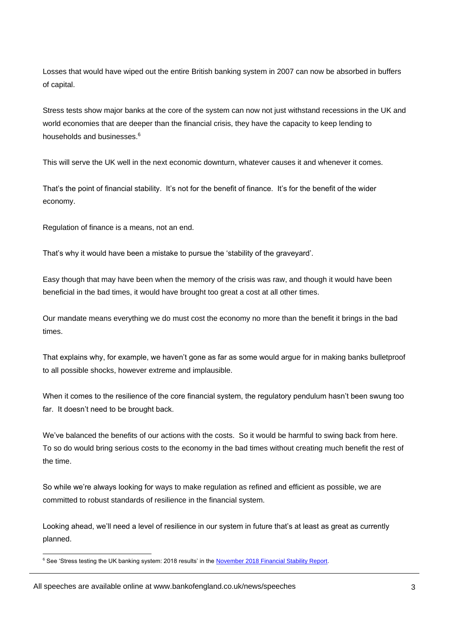Losses that would have wiped out the entire British banking system in 2007 can now be absorbed in buffers of capital.

Stress tests show major banks at the core of the system can now not just withstand recessions in the UK and world economies that are deeper than the financial crisis, they have the capacity to keep lending to households and businesses.<sup>6</sup>

This will serve the UK well in the next economic downturn, whatever causes it and whenever it comes.

That's the point of financial stability. It's not for the benefit of finance. It's for the benefit of the wider economy.

Regulation of finance is a means, not an end.

That's why it would have been a mistake to pursue the 'stability of the graveyard'.

Easy though that may have been when the memory of the crisis was raw, and though it would have been beneficial in the bad times, it would have brought too great a cost at all other times.

Our mandate means everything we do must cost the economy no more than the benefit it brings in the bad times.

That explains why, for example, we haven't gone as far as some would argue for in making banks bulletproof to all possible shocks, however extreme and implausible.

When it comes to the resilience of the core financial system, the regulatory pendulum hasn't been swung too far. It doesn't need to be brought back.

We've balanced the benefits of our actions with the costs. So it would be harmful to swing back from here. To so do would bring serious costs to the economy in the bad times without creating much benefit the rest of the time.

So while we're always looking for ways to make regulation as refined and efficient as possible, we are committed to robust standards of resilience in the financial system.

Looking ahead, we'll need a level of resilience in our system in future that's at least as great as currently planned.

l <sup>6</sup> See 'Stress testing the UK banking system: 2018 results' in th[e November 2018 Financial Stability Report.](https://www.bankofengland.co.uk/-/media/boe/files/financial-stability-report/2018/november-2018)

All speeches are available online at www.bankofengland.co.uk/news/speeches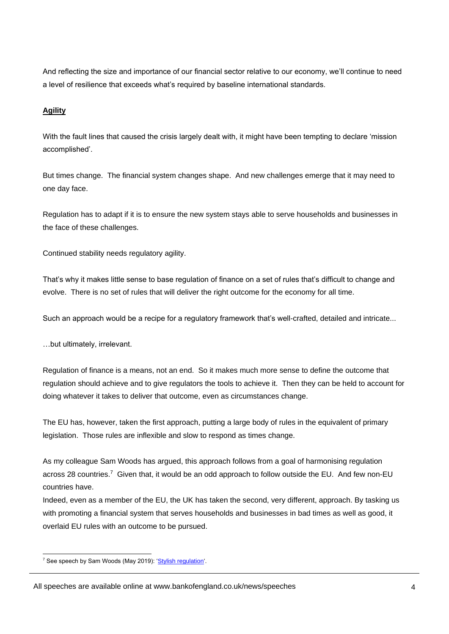And reflecting the size and importance of our financial sector relative to our economy, we'll continue to need a level of resilience that exceeds what's required by baseline international standards.

## **Agility**

With the fault lines that caused the crisis largely dealt with, it might have been tempting to declare 'mission accomplished'.

But times change. The financial system changes shape. And new challenges emerge that it may need to one day face.

Regulation has to adapt if it is to ensure the new system stays able to serve households and businesses in the face of these challenges.

Continued stability needs regulatory agility.

That's why it makes little sense to base regulation of finance on a set of rules that's difficult to change and evolve. There is no set of rules that will deliver the right outcome for the economy for all time.

Such an approach would be a recipe for a regulatory framework that's well-crafted, detailed and intricate...

…but ultimately, irrelevant.

Regulation of finance is a means, not an end. So it makes much more sense to define the outcome that regulation should achieve and to give regulators the tools to achieve it. Then they can be held to account for doing whatever it takes to deliver that outcome, even as circumstances change.

The EU has, however, taken the first approach, putting a large body of rules in the equivalent of primary legislation. Those rules are inflexible and slow to respond as times change.

As my colleague Sam Woods has argued, this approach follows from a goal of harmonising regulation across 28 countries.<sup>7</sup> Given that, it would be an odd approach to follow outside the EU. And few non-EU countries have.

Indeed, even as a member of the EU, the UK has taken the second, very different, approach. By tasking us with promoting a financial system that serves households and businesses in bad times as well as good, it overlaid EU rules with an outcome to be pursued.

l <sup>7</sup> See speech by Sam Woods (May 2019): ['Stylish regulation'](https://www.bankofengland.co.uk/-/media/boe/files/speech/2019/stylish-regulation-speech-by-sam-woods.pdf?la=en&hash=C63CBBE35E4CFEB15133D1B0D836A347757FD19D).

All speeches are available online at www.bankofengland.co.uk/news/speeches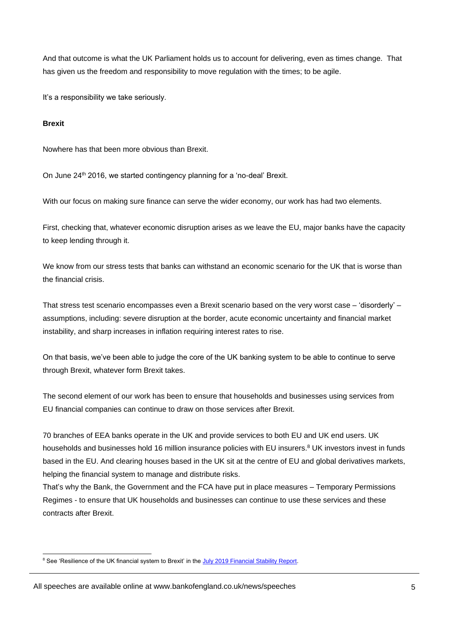And that outcome is what the UK Parliament holds us to account for delivering, even as times change. That has given us the freedom and responsibility to move regulation with the times; to be agile.

It's a responsibility we take seriously.

#### **Brexit**

Nowhere has that been more obvious than Brexit.

On June 24<sup>th</sup> 2016, we started contingency planning for a 'no-deal' Brexit.

With our focus on making sure finance can serve the wider economy, our work has had two elements.

First, checking that, whatever economic disruption arises as we leave the EU, major banks have the capacity to keep lending through it.

We know from our stress tests that banks can withstand an economic scenario for the UK that is worse than the financial crisis.

That stress test scenario encompasses even a Brexit scenario based on the very worst case – 'disorderly' – assumptions, including: severe disruption at the border, acute economic uncertainty and financial market instability, and sharp increases in inflation requiring interest rates to rise.

On that basis, we've been able to judge the core of the UK banking system to be able to continue to serve through Brexit, whatever form Brexit takes.

The second element of our work has been to ensure that households and businesses using services from EU financial companies can continue to draw on those services after Brexit.

70 branches of EEA banks operate in the UK and provide services to both EU and UK end users. UK households and businesses hold 16 million insurance policies with EU insurers.<sup>8</sup> UK investors invest in funds based in the EU. And clearing houses based in the UK sit at the centre of EU and global derivatives markets, helping the financial system to manage and distribute risks.

That's why the Bank, the Government and the FCA have put in place measures – Temporary Permissions Regimes - to ensure that UK households and businesses can continue to use these services and these contracts after Brexit.

l <sup>8</sup> See 'Resilience of the UK financial system to Brexit' in the [July 2019 Financial Stability Report.](https://www.bankofengland.co.uk/-/media/boe/files/financial-stability-report/2019/july-2019.pdf)

All speeches are available online at www.bankofengland.co.uk/news/speeches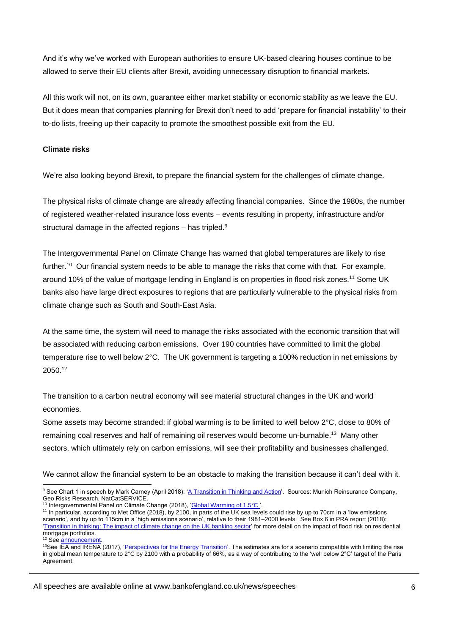And it's why we've worked with European authorities to ensure UK-based clearing houses continue to be allowed to serve their EU clients after Brexit, avoiding unnecessary disruption to financial markets.

All this work will not, on its own, guarantee either market stability or economic stability as we leave the EU. But it does mean that companies planning for Brexit don't need to add 'prepare for financial instability' to their to-do lists, freeing up their capacity to promote the smoothest possible exit from the EU.

## **Climate risks**

We're also looking beyond Brexit, to prepare the financial system for the challenges of climate change.

The physical risks of climate change are already affecting financial companies. Since the 1980s, the number of registered weather-related insurance loss events – events resulting in property, infrastructure and/or structural damage in the affected regions – has tripled.<sup>9</sup>

The Intergovernmental Panel on Climate Change has warned that global temperatures are likely to rise further.<sup>10</sup> Our financial system needs to be able to manage the risks that come with that. For example, around 10% of the value of mortgage lending in England is on properties in flood risk zones.<sup>11</sup> Some UK banks also have large direct exposures to regions that are particularly vulnerable to the physical risks from climate change such as South and South-East Asia.

At the same time, the system will need to manage the risks associated with the economic transition that will be associated with reducing carbon emissions. Over 190 countries have committed to limit the global temperature rise to well below 2°C. The UK government is targeting a 100% reduction in net emissions by 2050.<sup>12</sup>

The transition to a carbon neutral economy will see material structural changes in the UK and world economies.

Some assets may become stranded: if global warming is to be limited to well below 2°C, close to 80% of remaining coal reserves and half of remaining oil reserves would become un-burnable.<sup>13</sup> Many other sectors, which ultimately rely on carbon emissions, will see their profitability and businesses challenged.

We cannot allow the financial system to be an obstacle to making the transition because it can't deal with it.

```
 announcement.
```
l

<sup>&</sup>lt;sup>9</sup> See Chart 1 in speech by Mark Carney (April 2018): ['A Transition in Thinking and Action'.](https://www.bankofengland.co.uk/-/media/boe/files/speech/2018/a-transition-in-thinking-and-action-speech-by-mark-carney.pdf) Sources: Munich Reinsurance Company, Geo Risks Research, NatCatSERVICE.

<sup>&</sup>lt;sup>10</sup> Intergovernmental Panel on Climate Change (2018), ['Global Warming of 1.5°C '.](https://report.ipcc.ch/sr15/pdf/sr15_spm_final.pdf)

<sup>11</sup> In particular, according to Met Office (2018), by 2100, in parts of the UK sea levels could rise by up to 70cm in a 'low emissions scenario', and by up to 115cm in a 'high emissions scenario', relative to their 1981–2000 levels. See Box 6 in PRA report (2018): ['Transition in thinking: The impact of climate change on the UK banking sector'](https://www.bankofengland.co.uk/-/media/boe/files/prudential-regulation/report/transition-in-thinking-the-impact-of-climate-change-on-the-uk-banking-sector.pdf) for more detail on the impact of flood risk on residential mortgage portfolios.

<sup>&</sup>lt;sup>13</sup>See IEA and IRENA (2017), ['Perspectives for the Energy Transition'.](https://www.irena.org/-/media/Files/IRENA/Agency/Publication/2017/Mar/Perspectives_for_the_Energy_Transition_2017.pdf?la=en&hash=56436956B74DBD22A9C6309ED76E3924A879D0C7) The estimates are for a scenario compatible with limiting the rise in global mean temperature to 2°C by 2100 with a probability of 66%, as a way of contributing to the 'well below 2°C' target of the Paris Agreement.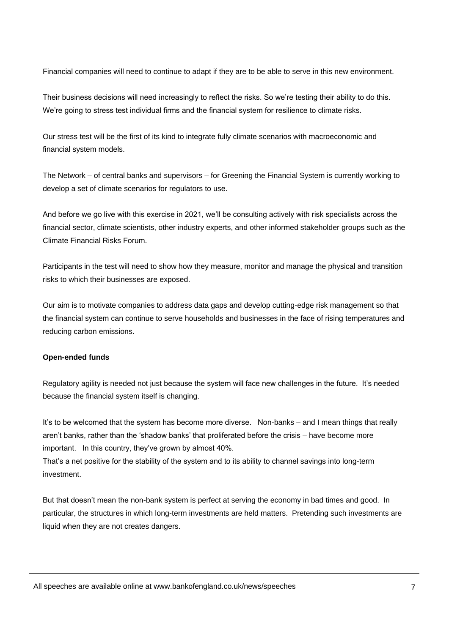Financial companies will need to continue to adapt if they are to be able to serve in this new environment.

Their business decisions will need increasingly to reflect the risks. So we're testing their ability to do this. We're going to stress test individual firms and the financial system for resilience to climate risks.

Our stress test will be the first of its kind to integrate fully climate scenarios with macroeconomic and financial system models.

The Network – of central banks and supervisors – for Greening the Financial System is currently working to develop a set of climate scenarios for regulators to use.

And before we go live with this exercise in 2021, we'll be consulting actively with risk specialists across the financial sector, climate scientists, other industry experts, and other informed stakeholder groups such as the Climate Financial Risks Forum.

Participants in the test will need to show how they measure, monitor and manage the physical and transition risks to which their businesses are exposed.

Our aim is to motivate companies to address data gaps and develop cutting-edge risk management so that the financial system can continue to serve households and businesses in the face of rising temperatures and reducing carbon emissions.

#### **Open-ended funds**

Regulatory agility is needed not just because the system will face new challenges in the future. It's needed because the financial system itself is changing.

It's to be welcomed that the system has become more diverse. Non-banks – and I mean things that really aren't banks, rather than the 'shadow banks' that proliferated before the crisis – have become more important. In this country, they've grown by almost 40%.

That's a net positive for the stability of the system and to its ability to channel savings into long-term investment.

But that doesn't mean the non-bank system is perfect at serving the economy in bad times and good. In particular, the structures in which long-term investments are held matters. Pretending such investments are liquid when they are not creates dangers.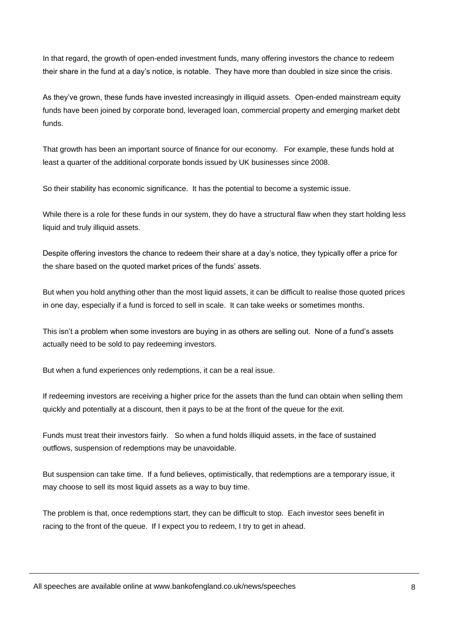In that regard, the growth of open-ended investment funds, many offering investors the chance to redeem their share in the fund at a day's notice, is notable. They have more than doubled in size since the crisis.

As they've grown, these funds have invested increasingly in illiquid assets. Open-ended mainstream equity funds have been joined by corporate bond, leveraged loan, commercial property and emerging market debt funds.

That growth has been an important source of finance for our economy. For example, these funds hold at least a quarter of the additional corporate bonds issued by UK businesses since 2008.

So their stability has economic significance. It has the potential to become a systemic issue.

While there is a role for these funds in our system, they do have a structural flaw when they start holding less liquid and truly illiquid assets.

Despite offering investors the chance to redeem their share at a day's notice, they typically offer a price for the share based on the quoted market prices of the funds' assets.

But when you hold anything other than the most liquid assets, it can be difficult to realise those quoted prices in one day, especially if a fund is forced to sell in scale. It can take weeks or sometimes months.

This isn't a problem when some investors are buying in as others are selling out. None of a fund's assets actually need to be sold to pay redeeming investors.

But when a fund experiences only redemptions, it can be a real issue.

If redeeming investors are receiving a higher price for the assets than the fund can obtain when selling them quickly and potentially at a discount, then it pays to be at the front of the queue for the exit.

Funds must treat their investors fairly. So when a fund holds illiquid assets, in the face of sustained outflows, suspension of redemptions may be unavoidable.

But suspension can take time. If a fund believes, optimistically, that redemptions are a temporary issue, it may choose to sell its most liquid assets as a way to buy time.

The problem is that, once redemptions start, they can be difficult to stop. Each investor sees benefit in racing to the front of the queue. If I expect you to redeem, I try to get in ahead.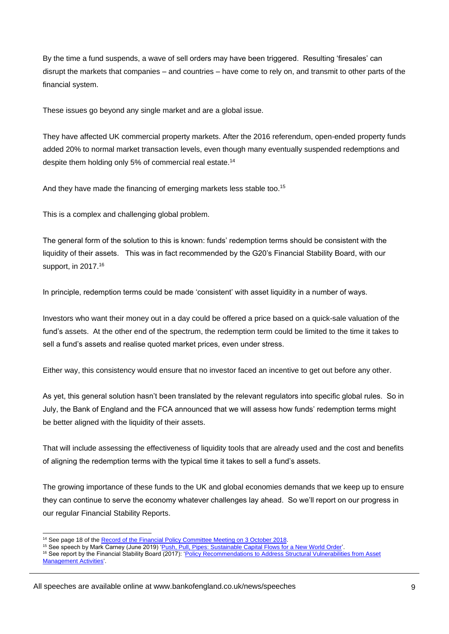By the time a fund suspends, a wave of sell orders may have been triggered. Resulting 'firesales' can disrupt the markets that companies – and countries – have come to rely on, and transmit to other parts of the financial system.

These issues go beyond any single market and are a global issue.

They have affected UK commercial property markets. After the 2016 referendum, open-ended property funds added 20% to normal market transaction levels, even though many eventually suspended redemptions and despite them holding only 5% of commercial real estate.<sup>14</sup>

And they have made the financing of emerging markets less stable too.<sup>15</sup>

This is a complex and challenging global problem.

The general form of the solution to this is known: funds' redemption terms should be consistent with the liquidity of their assets. This was in fact recommended by the G20's Financial Stability Board, with our support, in 2017.<sup>16</sup>

In principle, redemption terms could be made 'consistent' with asset liquidity in a number of ways.

Investors who want their money out in a day could be offered a price based on a quick-sale valuation of the fund's assets. At the other end of the spectrum, the redemption term could be limited to the time it takes to sell a fund's assets and realise quoted market prices, even under stress.

Either way, this consistency would ensure that no investor faced an incentive to get out before any other.

As yet, this general solution hasn't been translated by the relevant regulators into specific global rules. So in July, the Bank of England and the FCA announced that we will assess how funds' redemption terms might be better aligned with the liquidity of their assets.

That will include assessing the effectiveness of liquidity tools that are already used and the cost and benefits of aligning the redemption terms with the typical time it takes to sell a fund's assets.

The growing importance of these funds to the UK and global economies demands that we keep up to ensure they can continue to serve the economy whatever challenges lay ahead. So we'll report on our progress in our regular Financial Stability Reports.

l

<sup>&</sup>lt;sup>14</sup> See page 18 of th[e Record of the Financial Policy Committee Meeting on 3 October 2018.](https://www.bankofengland.co.uk/-/media/boe/files/record/2018/financial-policy-committee-meeting-october-2018)

<sup>15</sup> See speech by Mark Carney (June 2019) ['Push, Pull, Pipes: Sustainable Capital Flows for a New World Order'.](https://www.bankofengland.co.uk/-/media/boe/files/speech/2019/pull-push-pipes-sustainable-capital-flows-for-a-new-world-order-speech-by-mark-carney.pdf?la=en&hash=93F8058E180DCC7D74E72FC63BDB1F55B27FEC56)

<sup>&</sup>lt;sup>16</sup> See report by the Financial Stability Board (2017): 'Policy Recommendations to Address Structural Vulnerabilities from Asset [Management Activities'](https://www.fsb.org/wp-content/uploads/FSB-Policy-Recommendations-on-Asset-Management-Structural-Vulnerabilities.pdf).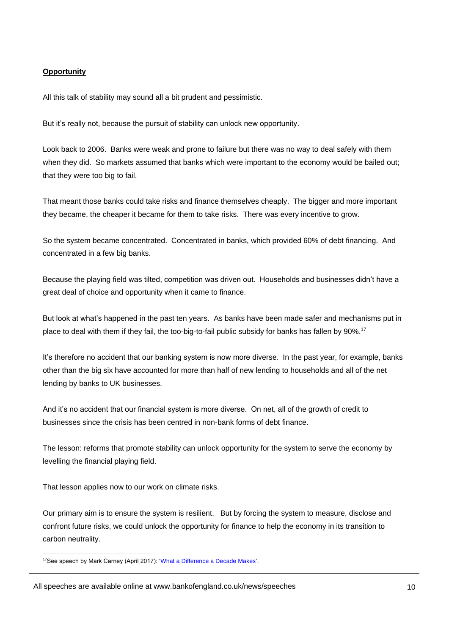## **Opportunity**

All this talk of stability may sound all a bit prudent and pessimistic.

But it's really not, because the pursuit of stability can unlock new opportunity.

Look back to 2006. Banks were weak and prone to failure but there was no way to deal safely with them when they did. So markets assumed that banks which were important to the economy would be bailed out; that they were too big to fail.

That meant those banks could take risks and finance themselves cheaply. The bigger and more important they became, the cheaper it became for them to take risks. There was every incentive to grow.

So the system became concentrated. Concentrated in banks, which provided 60% of debt financing. And concentrated in a few big banks.

Because the playing field was tilted, competition was driven out. Households and businesses didn't have a great deal of choice and opportunity when it came to finance.

But look at what's happened in the past ten years. As banks have been made safer and mechanisms put in place to deal with them if they fail, the too-big-to-fail public subsidy for banks has fallen by 90%.<sup>17</sup>

It's therefore no accident that our banking system is now more diverse. In the past year, for example, banks other than the big six have accounted for more than half of new lending to households and all of the net lending by banks to UK businesses.

And it's no accident that our financial system is more diverse. On net, all of the growth of credit to businesses since the crisis has been centred in non-bank forms of debt finance.

The lesson: reforms that promote stability can unlock opportunity for the system to serve the economy by levelling the financial playing field.

That lesson applies now to our work on climate risks.

Our primary aim is to ensure the system is resilient. But by forcing the system to measure, disclose and confront future risks, we could unlock the opportunity for finance to help the economy in its transition to carbon neutrality.

l <sup>17</sup>See speech by Mark Carney (April 2017): ['What a Difference a Decade Makes'.](https://www.bankofengland.co.uk/-/media/boe/files/speech/2017/what-a-difference-a-decade-makes.pdf?la=en&hash=CA8F77C4F518DCFB8C697C03704773370C82326D)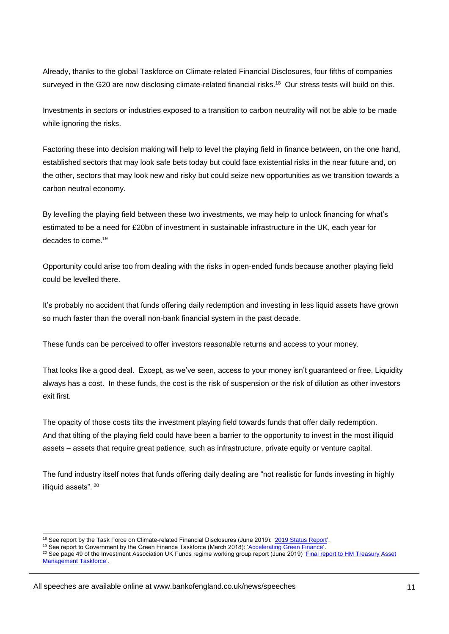Already, thanks to the global Taskforce on Climate-related Financial Disclosures, four fifths of companies surveyed in the G20 are now disclosing climate-related financial risks.<sup>18</sup> Our stress tests will build on this.

Investments in sectors or industries exposed to a transition to carbon neutrality will not be able to be made while ignoring the risks.

Factoring these into decision making will help to level the playing field in finance between, on the one hand, established sectors that may look safe bets today but could face existential risks in the near future and, on the other, sectors that may look new and risky but could seize new opportunities as we transition towards a carbon neutral economy.

By levelling the playing field between these two investments, we may help to unlock financing for what's estimated to be a need for £20bn of investment in sustainable infrastructure in the UK, each year for decades to come.<sup>19</sup>

Opportunity could arise too from dealing with the risks in open-ended funds because another playing field could be levelled there.

It's probably no accident that funds offering daily redemption and investing in less liquid assets have grown so much faster than the overall non-bank financial system in the past decade.

These funds can be perceived to offer investors reasonable returns and access to your money.

That looks like a good deal. Except, as we've seen, access to your money isn't guaranteed or free. Liquidity always has a cost. In these funds, the cost is the risk of suspension or the risk of dilution as other investors exit first.

The opacity of those costs tilts the investment playing field towards funds that offer daily redemption. And that tilting of the playing field could have been a barrier to the opportunity to invest in the most illiquid assets – assets that require great patience, such as infrastructure, private equity or venture capital.

The fund industry itself notes that funds offering daily dealing are "not realistic for funds investing in highly illiquid assets". <sup>20</sup>

l

<sup>&</sup>lt;sup>18</sup> See report by the Task Force on Climate-related Financial Disclosures (June 2019): '2019 Status Report'

<sup>&</sup>lt;sup>19</sup> See report to Government by the Green Finance Taskforce (March 2018): ['Accelerating Green Finance'.](https://assets.publishing.service.gov.uk/government/uploads/system/uploads/attachment_data/file/703816/green-finance-taskforce-accelerating-green-finance-report.pdf)

<sup>&</sup>lt;sup>20</sup> See page 49 of the Investment Association UK Funds regime working group report (June 2019) 'Final report to HM Treasury Asset [Management Taskforce'.](https://www.theia.org/sites/default/files/2019-07/20190731-UKFRWGreport.pdf)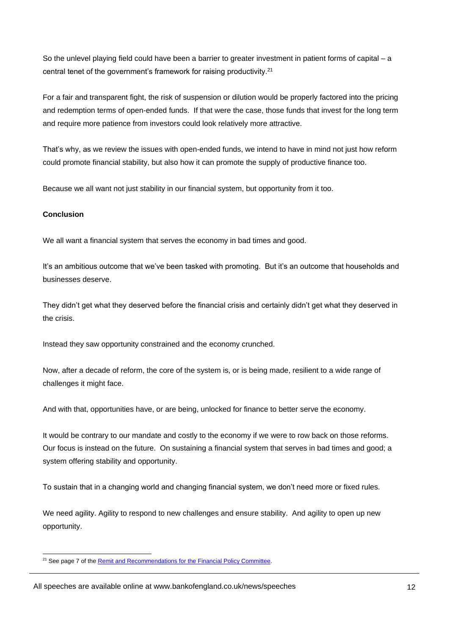So the unlevel playing field could have been a barrier to greater investment in patient forms of capital – a central tenet of the government's framework for raising productivity. $21$ 

For a fair and transparent fight, the risk of suspension or dilution would be properly factored into the pricing and redemption terms of open-ended funds. If that were the case, those funds that invest for the long term and require more patience from investors could look relatively more attractive.

That's why, as we review the issues with open-ended funds, we intend to have in mind not just how reform could promote financial stability, but also how it can promote the supply of productive finance too.

Because we all want not just stability in our financial system, but opportunity from it too.

## **Conclusion**

We all want a financial system that serves the economy in bad times and good.

It's an ambitious outcome that we've been tasked with promoting. But it's an outcome that households and businesses deserve.

They didn't get what they deserved before the financial crisis and certainly didn't get what they deserved in the crisis.

Instead they saw opportunity constrained and the economy crunched.

Now, after a decade of reform, the core of the system is, or is being made, resilient to a wide range of challenges it might face.

And with that, opportunities have, or are being, unlocked for finance to better serve the economy.

It would be contrary to our mandate and costly to the economy if we were to row back on those reforms. Our focus is instead on the future. On sustaining a financial system that serves in bad times and good; a system offering stability and opportunity.

To sustain that in a changing world and changing financial system, we don't need more or fixed rules.

We need agility. Agility to respond to new challenges and ensure stability. And agility to open up new opportunity.

l <sup>21</sup> See page 7 of the [Remit and Recommendations for the Financial Policy Committee.](https://www.bankofengland.co.uk/-/media/boe/files/letter/2018/chancellor-letter-291018-fpc.pdf)

All speeches are available online at www.bankofengland.co.uk/news/speeches